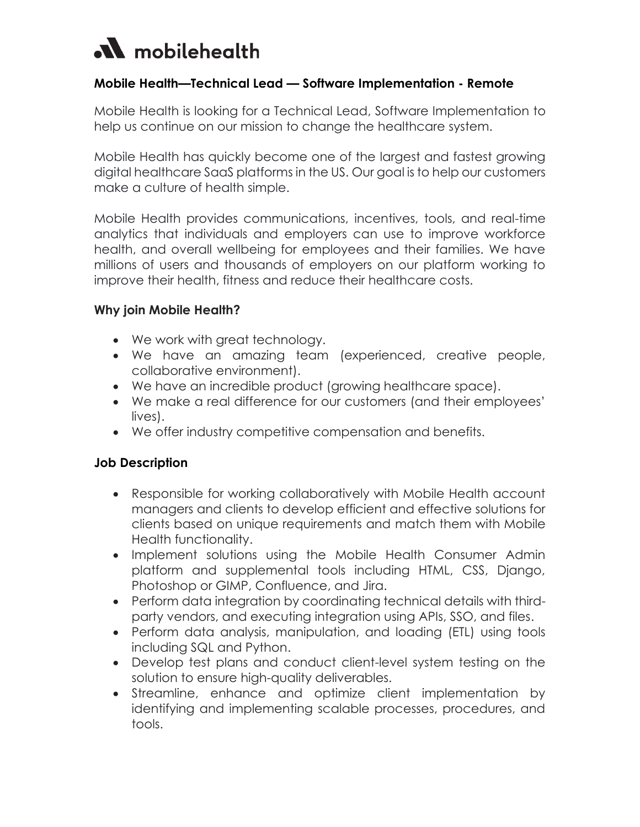# M mobilehealth

## **Mobile Health—Technical Lead — Software Implementation - Remote**

Mobile Health is looking for a Technical Lead, Software Implementation to help us continue on our mission to change the healthcare system.

Mobile Health has quickly become one of the largest and fastest growing digital healthcare SaaS platforms in the US. Our goal is to help our customers make a culture of health simple.

Mobile Health provides communications, incentives, tools, and real-time analytics that individuals and employers can use to improve workforce health, and overall wellbeing for employees and their families. We have millions of users and thousands of employers on our platform working to improve their health, fitness and reduce their healthcare costs.

## **Why join Mobile Health?**

- We work with great technology.
- We have an amazing team (experienced, creative people, collaborative environment).
- We have an incredible product (growing healthcare space).
- We make a real difference for our customers (and their employees' lives).
- We offer industry competitive compensation and benefits.

#### **Job Description**

- Responsible for working collaboratively with Mobile Health account managers and clients to develop efficient and effective solutions for clients based on unique requirements and match them with Mobile Health functionality.
- Implement solutions using the Mobile Health Consumer Admin platform and supplemental tools including HTML, CSS, Django, Photoshop or GIMP, Confluence, and Jira.
- Perform data integration by coordinating technical details with thirdparty vendors, and executing integration using APIs, SSO, and files.
- Perform data analysis, manipulation, and loading (ETL) using tools including SQL and Python.
- Develop test plans and conduct client-level system testing on the solution to ensure high-quality deliverables.
- Streamline, enhance and optimize client implementation by identifying and implementing scalable processes, procedures, and tools.